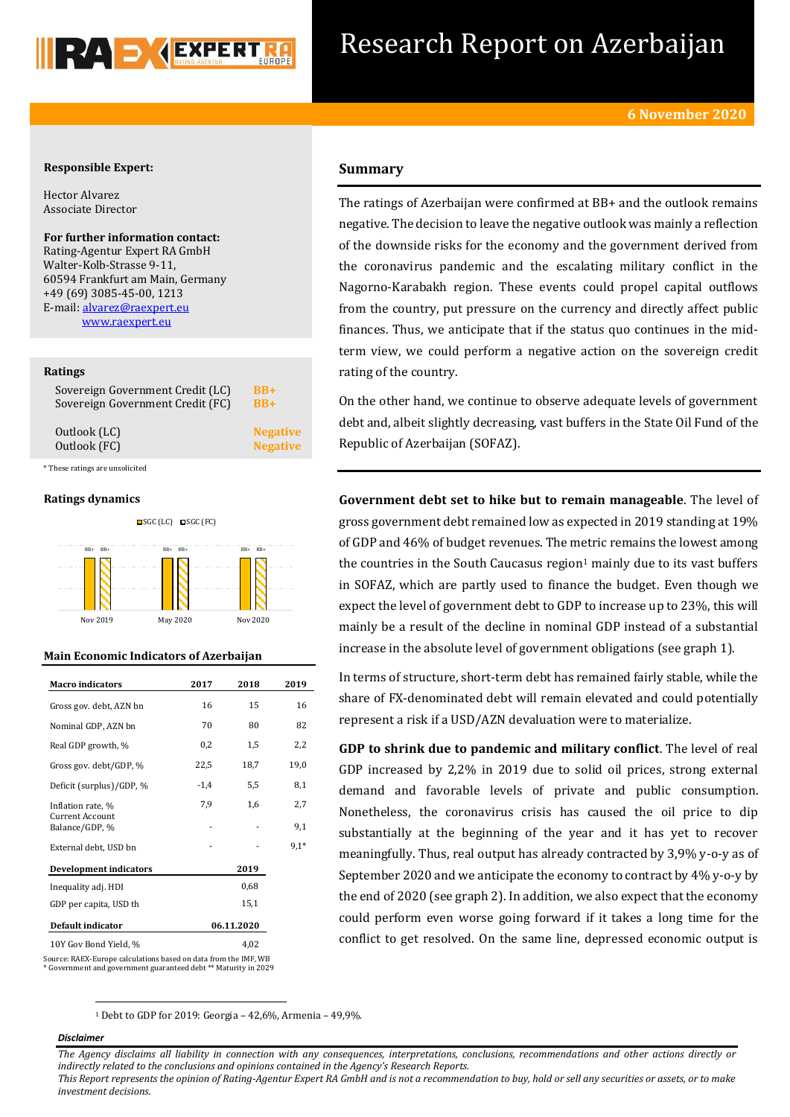

## Research Report on Azerbaijan

#### **Responsible Expert:**

Hector Alvarez Associate Director

**For further information contact:** Rating-Agentur Expert RA GmbH Walter-Kolb-Strasse 9-11, 60594 Frankfurt am Main, Germany +49 (69) 3085-45-00, 1213 E-mail[: alvarez@raexpert.eu](mailto:alvarez@raexpert.eu) [www.raexpert.eu](http://raexpert.eu/)

#### **Ratings**

| Sovereign Government Credit (LC) | $BB+$           |
|----------------------------------|-----------------|
| Sovereign Government Credit (FC) | $BB+$           |
| Outlook (LC)                     | <b>Negative</b> |
| Outlook (FC)                     | <b>Negative</b> |

\* These ratings are unsolicited

#### **Ratings dynamics**



#### **Main Economic Indicators of Azerbaijan**

| <b>Macro</b> indicators           | 2017   | 2018       | 2019   |
|-----------------------------------|--------|------------|--------|
| Gross gov. debt, AZN bn           | 16     | 15         | 16     |
| Nominal GDP, AZN bn               | 70     | 80         | 82     |
| Real GDP growth, %                | 0,2    | 1,5        | 2,2    |
| Gross gov. debt/GDP, %            | 22,5   | 18,7       | 19,0   |
| Deficit (surplus)/GDP, %          | $-1,4$ | 5,5        | 8,1    |
| Inflation rate, %                 | 7.9    | 1,6        | 2,7    |
| Current Account<br>Balance/GDP, % |        |            | 9,1    |
| External debt, USD bn             |        |            | $9,1*$ |
| <b>Development indicators</b>     |        | 2019       |        |
| Inequality adj. HDI               |        | 0,68       |        |
| GDP per capita, USD th            |        | 15,1       |        |
| Default indicator                 |        | 06.11.2020 |        |
| 10Y Gov Bond Yield, %             |        | 4,02       |        |

Source: RAEX-Europe calculations based on data from the IMF, WB \* Government and government guaranteed debt \*\* Maturity in 2029

#### **Summary**

The ratings of Azerbaijan were confirmed at BB+ and the outlook remains negative. The decision to leave the negative outlook was mainly a reflection of the downside risks for the economy and the government derived from the coronavirus pandemic and the escalating military conflict in the Nagorno-Karabakh region. These events could propel capital outflows from the country, put pressure on the currency and directly affect public finances. Thus, we anticipate that if the status quo continues in the midterm view, we could perform a negative action on the sovereign credit rating of the country.

On the other hand, we continue to observe adequate levels of government debt and, albeit slightly decreasing, vast buffers in the State Oil Fund of the Republic of Azerbaijan (SOFAZ).

**Government debt set to hike but to remain manageable**. The level of gross government debt remained low as expected in 2019 standing at 19% of GDP and 46% of budget revenues. The metric remains the lowest among the countries in the South Caucasus region $1$  mainly due to its vast buffers in SOFAZ, which are partly used to finance the budget. Even though we expect the level of government debt to GDP to increase up to 23%, this will mainly be a result of the decline in nominal GDP instead of a substantial increase in the absolute level of government obligations (see graph 1).

In terms of structure, short-term debt has remained fairly stable, while the share of FX-denominated debt will remain elevated and could potentially represent a risk if a USD/AZN devaluation were to materialize.

**GDP to shrink due to pandemic and military conflict**. The level of real GDP increased by 2,2% in 2019 due to solid oil prices, strong external demand and favorable levels of private and public consumption. Nonetheless, the coronavirus crisis has caused the oil price to dip substantially at the beginning of the year and it has yet to recover meaningfully. Thus, real output has already contracted by 3,9% y-o-y as of September 2020 and we anticipate the economy to contract by 4% y-o-y by the end of 2020 (see graph 2). In addition, we also expect that the economy could perform even worse going forward if it takes a long time for the conflict to get resolved. On the same line, depressed economic output is

<sup>1</sup> Debt to GDP for 2019: Georgia – 42,6%, Armenia – 49,9%.

#### *Disclaimer*

1

*The Agency disclaims all liability in connection with any consequences, interpretations, conclusions, recommendations and other actions directly or indirectly related to the conclusions and opinions contained in the Agency's Research Reports.*

*This Report represents the opinion of Rating-Agentur Expert RA GmbH and is not a recommendation to buy, hold or sell any securities or assets, or to make investment decisions.*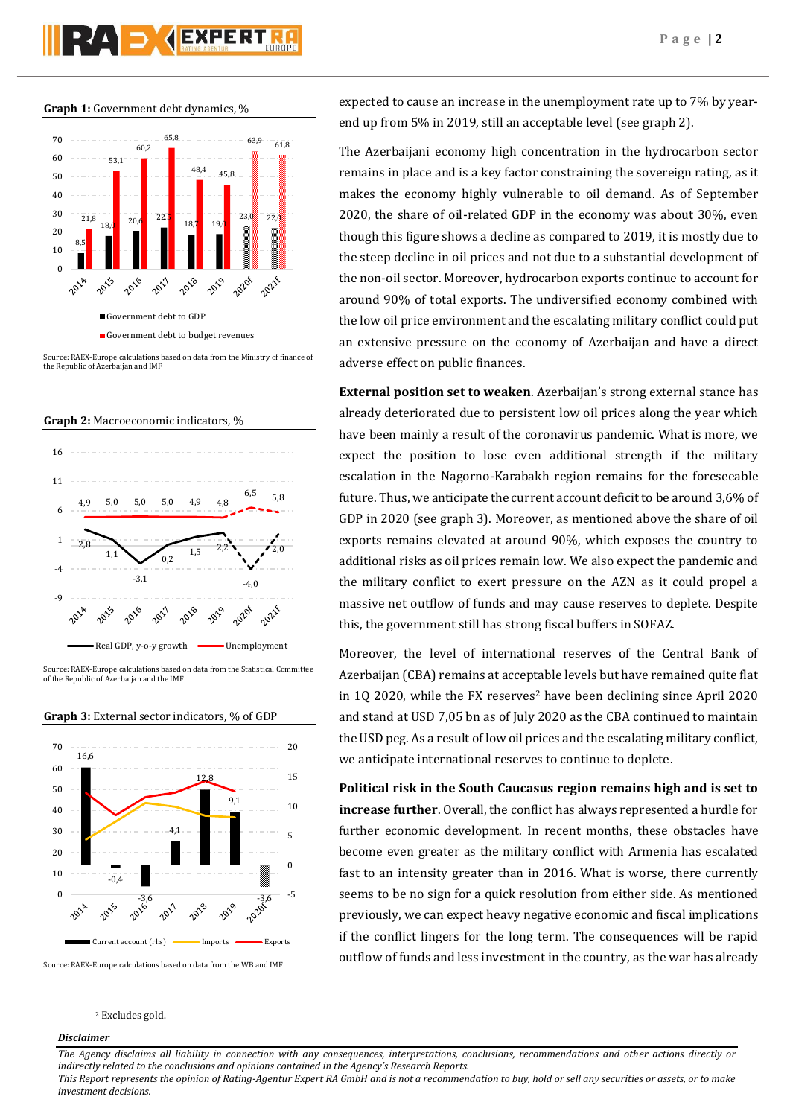# **PAD AEXPERT**

#### **Graph 1:** Government debt dynamics, %



Source: RAEX-Europe calculations based on data from the Ministry of finance of the Republic of Azerbaijan and IMF





ource: RAEX-Europe calculations based on data from the Statistical Committee of the Republic of Azerbaijan and the IMF





Source: RAEX-Europe calculations based on data from the WB and IMF

#### <sup>2</sup> Excludes gold.

#### *Disclaimer*

1

expected to cause an increase in the unemployment rate up to 7% by yearend up from 5% in 2019, still an acceptable level (see graph 2).

The Azerbaijani economy high concentration in the hydrocarbon sector remains in place and is a key factor constraining the sovereign rating, as it makes the economy highly vulnerable to oil demand. As of September 2020, the share of oil-related GDP in the economy was about 30%, even though this figure shows a decline as compared to 2019, it is mostly due to the steep decline in oil prices and not due to a substantial development of the non-oil sector. Moreover, hydrocarbon exports continue to account for around 90% of total exports. The undiversified economy combined with the low oil price environment and the escalating military conflict could put an extensive pressure on the economy of Azerbaijan and have a direct adverse effect on public finances.

**External position set to weaken**. Azerbaijan's strong external stance has already deteriorated due to persistent low oil prices along the year which have been mainly a result of the coronavirus pandemic. What is more, we expect the position to lose even additional strength if the military escalation in the Nagorno-Karabakh region remains for the foreseeable future. Thus, we anticipate the current account deficit to be around 3,6% of GDP in 2020 (see graph 3). Moreover, as mentioned above the share of oil exports remains elevated at around 90%, which exposes the country to additional risks as oil prices remain low. We also expect the pandemic and the military conflict to exert pressure on the AZN as it could propel a massive net outflow of funds and may cause reserves to deplete. Despite this, the government still has strong fiscal buffers in SOFAZ.

Moreover, the level of international reserves of the Central Bank of Azerbaijan (CBA) remains at acceptable levels but have remained quite flat in 1Q 2020, while the FX reserves<sup>2</sup> have been declining since April 2020 and stand at USD 7,05 bn as of July 2020 as the CBA continued to maintain the USD peg. As a result of low oil prices and the escalating military conflict, we anticipate international reserves to continue to deplete.

**Political risk in the South Caucasus region remains high and is set to increase further**. Overall, the conflict has always represented a hurdle for further economic development. In recent months, these obstacles have become even greater as the military conflict with Armenia has escalated fast to an intensity greater than in 2016. What is worse, there currently seems to be no sign for a quick resolution from either side. As mentioned previously, we can expect heavy negative economic and fiscal implications if the conflict lingers for the long term. The consequences will be rapid outflow of funds and less investment in the country, as the war has already

*The Agency disclaims all liability in connection with any consequences, interpretations, conclusions, recommendations and other actions directly or indirectly related to the conclusions and opinions contained in the Agency's Research Reports. This Report represents the opinion of Rating-Agentur Expert RA GmbH and is not a recommendation to buy, hold or sell any securities or assets, or to make investment decisions.*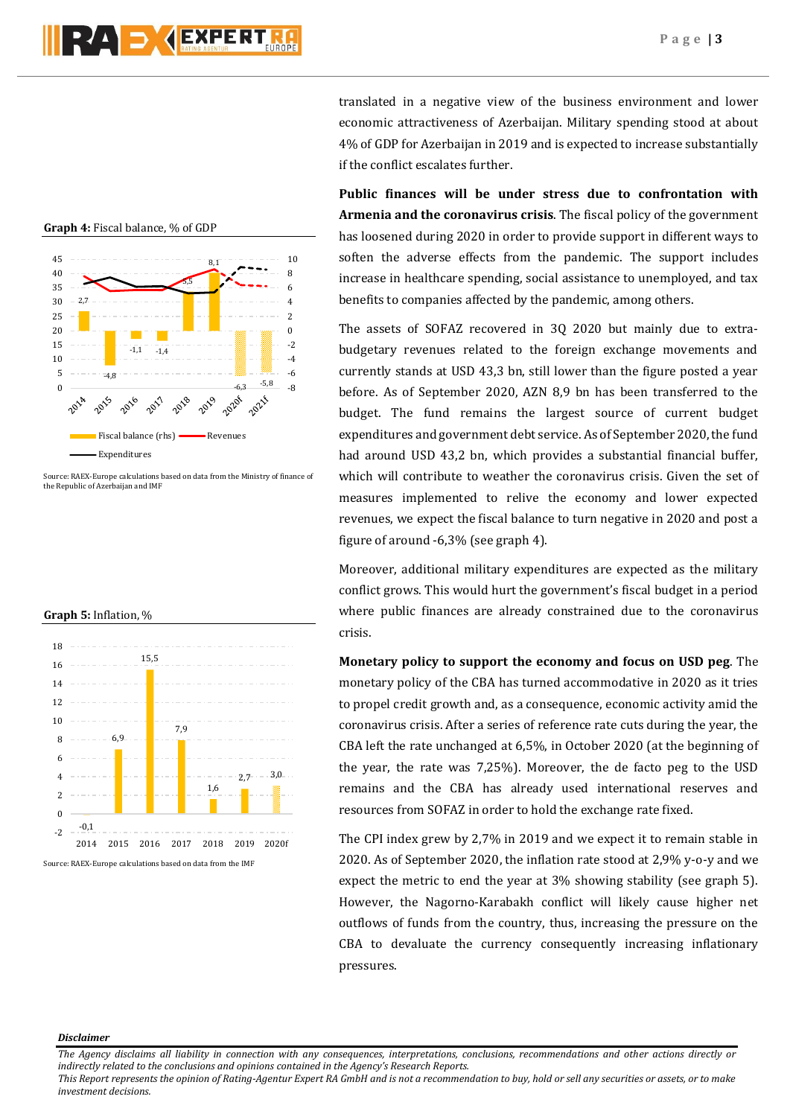

45 10 8,1 40 8 5,5 35 6 30 2,7 4 25  $\overline{2}$ 20  $\boldsymbol{0}$ 15 -2  $-1,1$   $-1,4$ 10 -4 5 -6 -4,8  $-6,3$   $-5,8$  -8<br> $-8$   $-8$   $-8$  $\theta$ 2019 2016 2014 Fiscal balance (rhs) **Revenues** Expenditures

Source: RAEX-Europe calculations based on data from the Ministry of finance of the Republic of Azerbaijan and IMF

#### **Graph 5:** Inflation, %



translated in a negative view of the business environment and lower economic attractiveness of Azerbaijan. Military spending stood at about 4% of GDP for Azerbaijan in 2019 and is expected to increase substantially if the conflict escalates further.

**Public finances will be under stress due to confrontation with Armenia and the coronavirus crisis**. The fiscal policy of the government has loosened during 2020 in order to provide support in different ways to soften the adverse effects from the pandemic. The support includes increase in healthcare spending, social assistance to unemployed, and tax benefits to companies affected by the pandemic, among others.

The assets of SOFAZ recovered in 3Q 2020 but mainly due to extrabudgetary revenues related to the foreign exchange movements and currently stands at USD 43,3 bn, still lower than the figure posted a year before. As of September 2020, AZN 8,9 bn has been transferred to the budget. The fund remains the largest source of current budget expenditures and government debt service. As of September 2020, the fund had around USD 43,2 bn, which provides a substantial financial buffer, which will contribute to weather the coronavirus crisis. Given the set of measures implemented to relive the economy and lower expected revenues, we expect the fiscal balance to turn negative in 2020 and post a figure of around -6,3% (see graph 4).

Moreover, additional military expenditures are expected as the military conflict grows. This would hurt the government's fiscal budget in a period where public finances are already constrained due to the coronavirus crisis.

**Monetary policy to support the economy and focus on USD peg**. The monetary policy of the CBA has turned accommodative in 2020 as it tries to propel credit growth and, as a consequence, economic activity amid the coronavirus crisis. After a series of reference rate cuts during the year, the CBA left the rate unchanged at 6,5%, in October 2020 (at the beginning of the year, the rate was 7,25%). Moreover, the de facto peg to the USD remains and the CBA has already used international reserves and resources from SOFAZ in order to hold the exchange rate fixed.

The CPI index grew by 2,7% in 2019 and we expect it to remain stable in 2020. As of September 2020, the inflation rate stood at 2,9% y-o-y and we expect the metric to end the year at 3% showing stability (see graph 5). However, the Nagorno-Karabakh conflict will likely cause higher net outflows of funds from the country, thus, increasing the pressure on the CBA to devaluate the currency consequently increasing inflationary pressures.

#### *Disclaimer*

*The Agency disclaims all liability in connection with any consequences, interpretations, conclusions, recommendations and other actions directly or indirectly related to the conclusions and opinions contained in the Agency's Research Reports.*

*This Report represents the opinion of Rating-Agentur Expert RA GmbH and is not a recommendation to buy, hold or sell any securities or assets, or to make investment decisions.*

### **Graph 4:** Fiscal balance, % of GDP